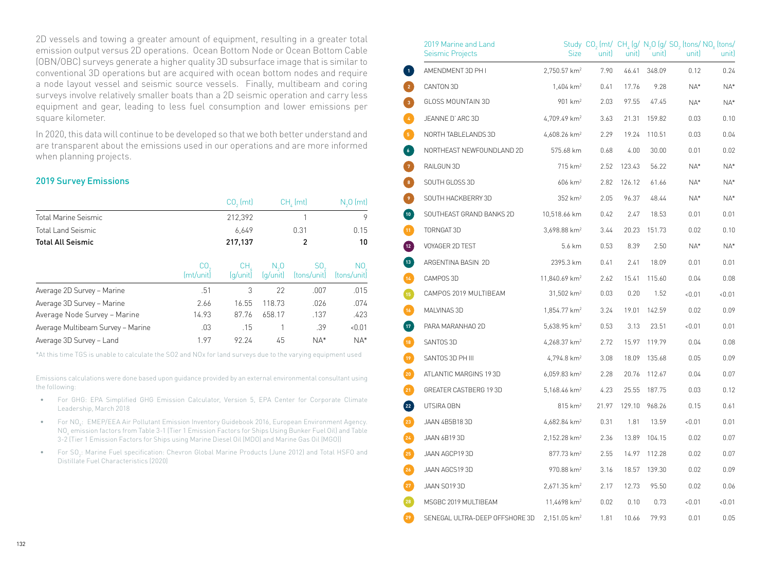2D vessels and towing a greater amount of equipment, resulting in a greater total emission output versus 2D operations. Ocean Bottom Node or Ocean Bottom Cable (OBN/OBC) surveys generate a higher quality 3D subsurface image that is similar to conventional 3D operations but are acquired with ocean bottom nodes and require a node layout vessel and seismic source vessels. Finally, multibeam and coring surveys involve relatively smaller boats than a 2D seismic operation and carry less equipment and gear, leading to less fuel consumption and lower emissions per square kilometer.

In 2020, this data will continue to be developed so that we both better understand and are transparent about the emissions used in our operations and are more informed when planning projects.

## 2019 Survey Emissions

|                                   |                 | $CO3$ (mt)       | CH, (mt)                  |                    | $N3O$ (mt)         |  |
|-----------------------------------|-----------------|------------------|---------------------------|--------------------|--------------------|--|
| Total Marine Seismic              |                 | 212,392          |                           |                    | 9                  |  |
| Total Land Seismic                |                 | 6.649            |                           | 0.31               | 0.15               |  |
| <b>Total All Seismic</b>          |                 | 217,137          |                           | 2                  | 10                 |  |
|                                   | CO<br>(mt/unit) | CH.<br>(la/unit) | $N_{\alpha}0$<br>(g/unit) | SO.<br>(tons/unit) | NO.<br>(tons/unit) |  |
| Average 2D Survey - Marine        | .51             | 3                | 22                        | .007               | .015               |  |
| Average 3D Survey - Marine        | 2.66            | 16.55            | 118.73                    | .026               | .074               |  |
| Average Node Survey - Marine      | 14.93           | 87.76            | 658.17                    | .137               | .423               |  |
| Average Multibeam Survey - Marine | .03             | .15              |                           | .39                | &0.01              |  |
| Average 3D Survey - Land          | 1.97            | 92.24            | 45                        | $NA*$              | $NA*$              |  |

\*At this time TGS is unable to calculate the SO2 and NOx for land surveys due to the varying equipment used

Emissions calculations were done based upon guidance provided by an external environmental consultant using the following:

- For GHG: EPA Simplified GHG Emission Calculator, Version 5, EPA Center for Corporate Climate Leadership, March 2018
- $\bullet$  For NO<sub>x</sub>: EMEP/EEA Air Pollutant Emission Inventory Guidebook 2016, European Environment Agency. NO $_{\rm x}$  emission factors from Table 3-1 (Tier 1 Emission Factors for Ships Using Bunker Fuel Oil) and Table 3-2 (Tier 1 Emission Factors for Ships using Marine Diesel Oil (MDO) and Marine Gas Oil (MGO))
- $\bullet$  For SO<sub>2</sub>: Marine Fuel specification: Chevron Global Marine Products (June 2012) and Total HSFO and Distillate Fuel Characteristics (2020)

|                     | 2019 Marine and Land<br>Seismic Projects | <b>Size</b>                | unit) | unitl  | unitl  | Study $CO_2$ (mt/ $CH_4$ (g/ $N_2O$ (g/ $SO_2$ (tons/ $NO_x$ (tons/<br>unitl | unit) |
|---------------------|------------------------------------------|----------------------------|-------|--------|--------|------------------------------------------------------------------------------|-------|
| $\mathbf{1}$        | AMENDMENT 3D PH I                        | $2,750.57$ km <sup>2</sup> | 7.90  | 46.41  | 348.09 | 0.12                                                                         | 0.24  |
| $\overline{2}$      | CANTON 3D                                | $1,404$ km <sup>2</sup>    | 0.41  | 17.76  | 9.28   | NA*                                                                          | $NA*$ |
| $\mathbf{3}^{\top}$ | GLOSS MOUNTAIN 3D                        | 901 km <sup>2</sup>        | 2.03  | 97.55  | 47.45  | NA*                                                                          | NA*   |
| $\mathbf{A}$        | JEANNE D'ARC 3D                          | 4,709.49 km <sup>2</sup>   | 3.63  | 21.31  | 159.82 | 0.03                                                                         | 0.10  |
| $\sqrt{5}$          | NORTH TABLELANDS 3D                      | 4,608.26 km <sup>2</sup>   | 2.29  | 19.24  | 110.51 | 0.03                                                                         | 0.04  |
| $\overline{6}$      | NORTHEAST NEWFOUNDLAND 2D                | 575.68 km                  | 0.68  | 4.00   | 30.00  | 0.01                                                                         | 0.02  |
| $\mathbf{Z}$        | RAILGUN 3D                               | $715$ km <sup>2</sup>      | 2.52  | 123.43 | 56.22  | NA*                                                                          | $NA*$ |
| $\,$ 8 $\,$         | SOUTH GLOSS 3D                           | $606 \; km^2$              | 2.82  | 126.12 | 61.66  | NA*                                                                          | NA*   |
| Ø                   | SOUTH HACKBERRY 3D                       | 352 km <sup>2</sup>        | 2.05  | 96.37  | 48.44  | NA*                                                                          | NA*   |
| $\left( 10 \right)$ | SOUTHEAST GRAND BANKS 2D                 | 10,518.66 km               | 0.42  | 2.47   | 18.53  | 0.01                                                                         | 0.01  |
| $\boxed{11}$        | TORNGAT 3D                               | 3,698.88 km <sup>2</sup>   | 3.44  | 20.23  | 151.73 | 0.02                                                                         | 0.10  |
| $\left(12\right)$   | VOYAGER 2D TEST                          | 5.6 km                     | 0.53  | 8.39   | 2.50   | NA*                                                                          | NA*   |
| $\boxed{13}$        | ARGENTINA BASIN 2D                       | 2395.3 km                  | 0.41  | 2.41   | 18.09  | 0.01                                                                         | 0.01  |
| $\overline{14}$     | CAMPOS 3D                                | 11,840.69 km <sup>2</sup>  | 2.62  | 15.41  | 115.60 | 0.04                                                                         | 0.08  |
| Œ                   | CAMPOS 2019 MULTIBEAM                    | 31,502 km <sup>2</sup>     | 0.03  | 0.20   | 1.52   | <0.01                                                                        | 0.01  |
| $\boxed{16}$        | MALVINAS 3D                              | 1,854.77 km <sup>2</sup>   | 3.24  | 19.01  | 142.59 | 0.02                                                                         | 0.09  |
| $\left(17\right)$   | PARA MARANHAO 2D                         | 5,638.95 km <sup>2</sup>   | 0.53  | 3.13   | 23.51  | <0.01                                                                        | 0.01  |
| $\boxed{18}$        | SANTOS 3D                                | 4,268.37 km <sup>2</sup>   | 2.72  | 15.97  | 119.79 | 0.04                                                                         | 0.08  |
| $\boxed{12}$        | SANTOS 3D PH III                         | 4,794.8 km <sup>2</sup>    | 3.08  | 18.09  | 135.68 | 0.05                                                                         | 0.09  |
| $\left( 20 \right)$ | ATLANTIC MARGINS 193D                    | 6,059.83 km <sup>2</sup>   | 2.28  | 20.76  | 112.67 | 0.04                                                                         | 0.07  |
| $\boxed{21}$        | GREATER CASTBERG 19 3D                   | $5,168.46$ km <sup>2</sup> | 4.23  | 25.55  | 187.75 | 0.03                                                                         | 0.12  |
| $\overline{22}$     | UTSIRA OBN                               | $815 \; km^2$              | 21.97 | 129.10 | 968.26 | 0.15                                                                         | 0.61  |
| $\left( 23\right)$  | JAAN 4B5B183D                            | 4,682.84 km <sup>2</sup>   | 0.31  | 1.81   | 13.59  | 0.01                                                                         | 0.01  |
| $\left(24\right)$   | JAAN 6B193D                              | 2,152.28 km <sup>2</sup>   | 2.36  | 13.89  | 104.15 | 0.02                                                                         | 0.07  |
| 25 <sub>2</sub>     | JAAN AGCP193D                            | 877.73 km <sup>2</sup>     | 2.55  | 14.97  | 112.28 | 0.02                                                                         | 0.07  |
| 26                  | JAAN AGCS193D                            | 970.88 km <sup>2</sup>     | 3.16  | 18.57  | 139.30 | 0.02                                                                         | 0.09  |
| $^{27}$             | JAAN SO193D                              | 2,671.35 km <sup>2</sup>   | 2.17  | 12.73  | 95.50  | 0.02                                                                         | 0.06  |
| 28                  | MSGBC 2019 MULTIBEAM                     | 11,4698 km <sup>2</sup>    | 0.02  | 0.10   | 0.73   | <0.01                                                                        | 0.01  |
| $^{29}$             | SENEGAL ULTRA-DEEP OFFSHORE 3D           | $2,151.05$ km <sup>2</sup> | 1.81  | 10.66  | 79.93  | 0.01                                                                         | 0.05  |